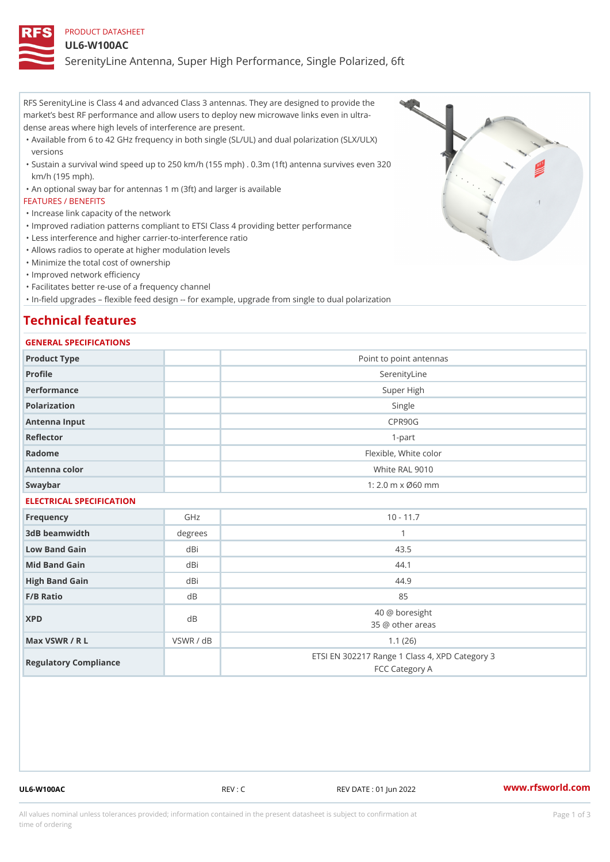### PRODUCT DATASHEET

### UL6-W100AC

SerenityLine Antenna, Super High Performance, Single Polarized, 6ft

RFS SerenityLine is Class 4 and advanced Class 3 antennas. They are designed to provide the market s best RF performance and allow users to deploy new microwave links even in ultra dense areas where high levels of interference are present.

- Available from 6 to 42 GHz frequency in both single (SL/UL) and dual polarization (SLX/ULX) " versions
- Sustain a survival wind speed up to 250 km/h (155 mph) . 0.3m (1ft) antenna survives even 320 " km/h (195 mph).
- "An optional sway bar for antennas 1 m (3ft) and larger is available

### FEATURES / BENEFITS

- "Increase link capacity of the network
- "Improved radiation patterns compliant to ETSI Class 4 providing better performance
- "Less interference and higher carrier-to-interference ratio
- "Allows radios to operate at higher modulation levels
- "Minimize the total cost of ownership
- "Improved network efficiency
- "Facilitates better re-use of a frequency channel
- "In-field upgrades flexible feed design -- for example, upgrade from single to dual polarization

# Technical features

### GENERAL SPECIFICATIONS

| Product Type             |          | Point to point antennas                                          |
|--------------------------|----------|------------------------------------------------------------------|
| Profile                  |          | SerenityLine                                                     |
| Performance              |          | Super High                                                       |
| Polarization             |          | Single                                                           |
| Antenna Input            |          | CPR90G                                                           |
| Reflector                |          | $1 - p$ art                                                      |
| Radome                   |          | Flexible, White color                                            |
| Antenna color            |          | White RAL 9010                                                   |
| Swaybar                  |          | $1: 2.0$ m x $0.60$ mm                                           |
| ELECTRICAL SPECIFICATION |          |                                                                  |
| Frequency                | GHz      | $10 - 11.7$                                                      |
| 3dB beamwidth            | degree   | 1                                                                |
| Low Band Gain            | dBi      | 43.5                                                             |
| Mid Band Gain            | dBi      | 44.1                                                             |
| High Band Gain           | dBi      | 44.9                                                             |
| F/B Ratio                | $d \, B$ | 85                                                               |
| <b>XPD</b>               | $d \, B$ | 40 @ boresight<br>35 @ other areas                               |
| Max VSWR / R L           | VSWR /   | d B<br>1.1(26)                                                   |
| Regulatory Compliance    |          | ETSI EN 302217 Range 1 Class 4, XPD Category 3<br>FCC Category A |
|                          |          |                                                                  |

UL6-W100AC REV : C REV DATE : 01 Jun 2022 [www.](https://www.rfsworld.com)rfsworld.com

All values nominal unless tolerances provided; information contained in the present datasheet is subject to Pcapgeign mation time of ordering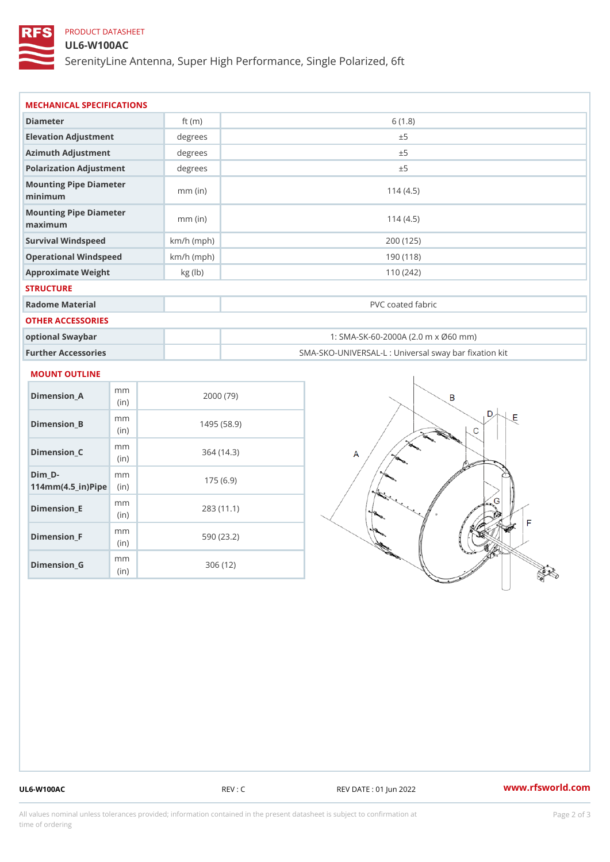# PRODUCT DATASHEET

### UL6-W100AC

SerenityLine Antenna, Super High Performance, Single Polarized, 6ft

| Diameter                           | ft $(m)$     | 6(1.8)                                            |
|------------------------------------|--------------|---------------------------------------------------|
| Elevation Adjustment               | degrees      | ± 5                                               |
| Azimuth Adjustment                 | degree       | ± 5                                               |
| Polarization Adjustment            | degree       | ± 5                                               |
| Mounting Pipe Diameter<br>minimaum | $mm$ (in)    | 114(4.5)                                          |
| Mounting Pipe Diameter<br>maximum  | $mm$ (in)    | 114(4.5)                                          |
| Survival Windspeed                 | $km/h$ (mph) | 200 (125)                                         |
| Operational Windspeed              | $km/h$ (mph) | 190 (118)                                         |
| Approximate Weight                 | kg (lb)      | 110(242)                                          |
| <b>STRUCTURE</b>                   |              |                                                   |
| Radome Material                    |              | PVC coated fabric                                 |
| OTHER ACCESSORIES                  |              |                                                   |
| optional Swaybar                   |              | 1: SMA-SK-60-2000A (2.0 m x Ø60 mm)               |
| Further Accessories                |              | SMA-SKO-UNIVERSAL-L : Universal sway bar fixation |

### MOUNT OUTLINE

| Dimension_A                       | m m<br>(i n) | 2000 (79)   |
|-----------------------------------|--------------|-------------|
| Dimension B                       | m m<br>(in)  | 1495 (58.9) |
| Dimension_C                       | m m<br>(i n) | 364 (14.3)  |
| Dim D-<br>$114mm(4.5_{ir})$ $Rip$ | m m          | 175(6.9)    |
| Dimension E                       | m m<br>(i n) | 283(11.1)   |
| Dimension F                       | m m<br>(in)  | 590 (23.2)  |
| Dimension G                       | m m<br>(in)  | 306 (12)    |

UL6-W100AC REV : C REV DATE : 01 Jun 2022 [www.](https://www.rfsworld.com)rfsworld.com